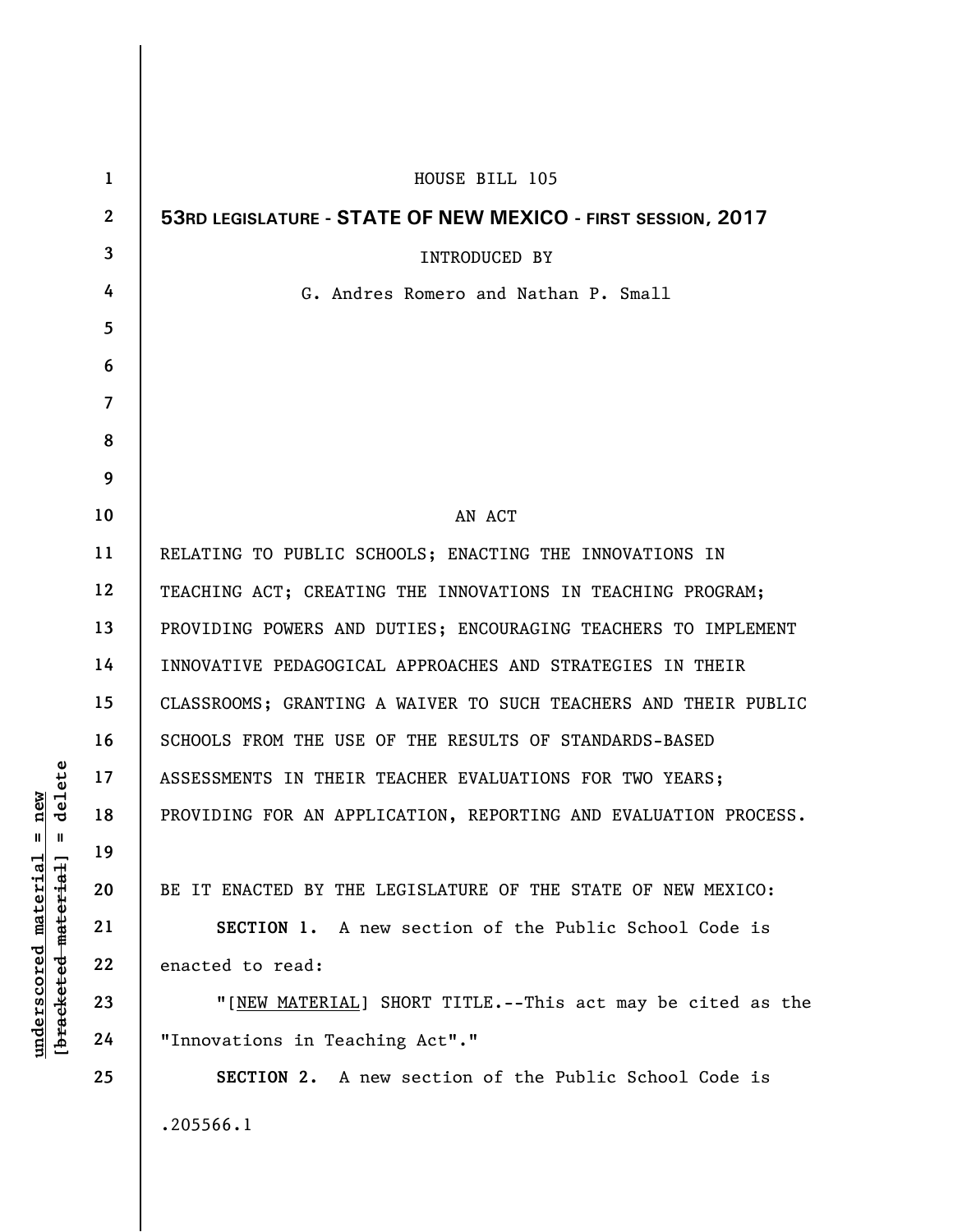| $\mathbf{1}$            | HOUSE BILL 105                                                  |
|-------------------------|-----------------------------------------------------------------|
| $\mathbf{2}$            | 53RD LEGISLATURE - STATE OF NEW MEXICO - FIRST SESSION, 2017    |
| 3                       | INTRODUCED BY                                                   |
| 4                       | G. Andres Romero and Nathan P. Small                            |
| 5                       |                                                                 |
| 6                       |                                                                 |
| $\overline{\mathbf{7}}$ |                                                                 |
| 8                       |                                                                 |
| 9                       |                                                                 |
| 10                      | AN ACT                                                          |
| 11                      | RELATING TO PUBLIC SCHOOLS; ENACTING THE INNOVATIONS IN         |
| 12                      | TEACHING ACT; CREATING THE INNOVATIONS IN TEACHING PROGRAM;     |
| 13                      | PROVIDING POWERS AND DUTIES; ENCOURAGING TEACHERS TO IMPLEMENT  |
| 14                      | INNOVATIVE PEDAGOGICAL APPROACHES AND STRATEGIES IN THEIR       |
| 15                      | CLASSROOMS; GRANTING A WAIVER TO SUCH TEACHERS AND THEIR PUBLIC |
| 16                      | SCHOOLS FROM THE USE OF THE RESULTS OF STANDARDS-BASED          |
| 17                      | ASSESSMENTS IN THEIR TEACHER EVALUATIONS FOR TWO YEARS;         |
| 18                      | PROVIDING FOR AN APPLICATION, REPORTING AND EVALUATION PROCESS. |
| 19                      |                                                                 |
| 20                      | BE IT ENACTED BY THE LEGISLATURE OF THE STATE OF NEW MEXICO:    |
| 21                      | SECTION 1. A new section of the Public School Code is           |
| 22                      | enacted to read:                                                |
| 23                      | "[NEW MATERIAL] SHORT TITLE.--This act may be cited as the      |
| 24                      | "Innovations in Teaching Act"."                                 |
| 25                      | <b>SECTION 2.</b> A new section of the Public School Code is    |
|                         | .205566.1                                                       |

**underscored material = new [bracketed material] = delete**

 $[**bracket eted metert et**] = **del et e**$  $underscored material = new$ 

 $\overline{\phantom{a}}$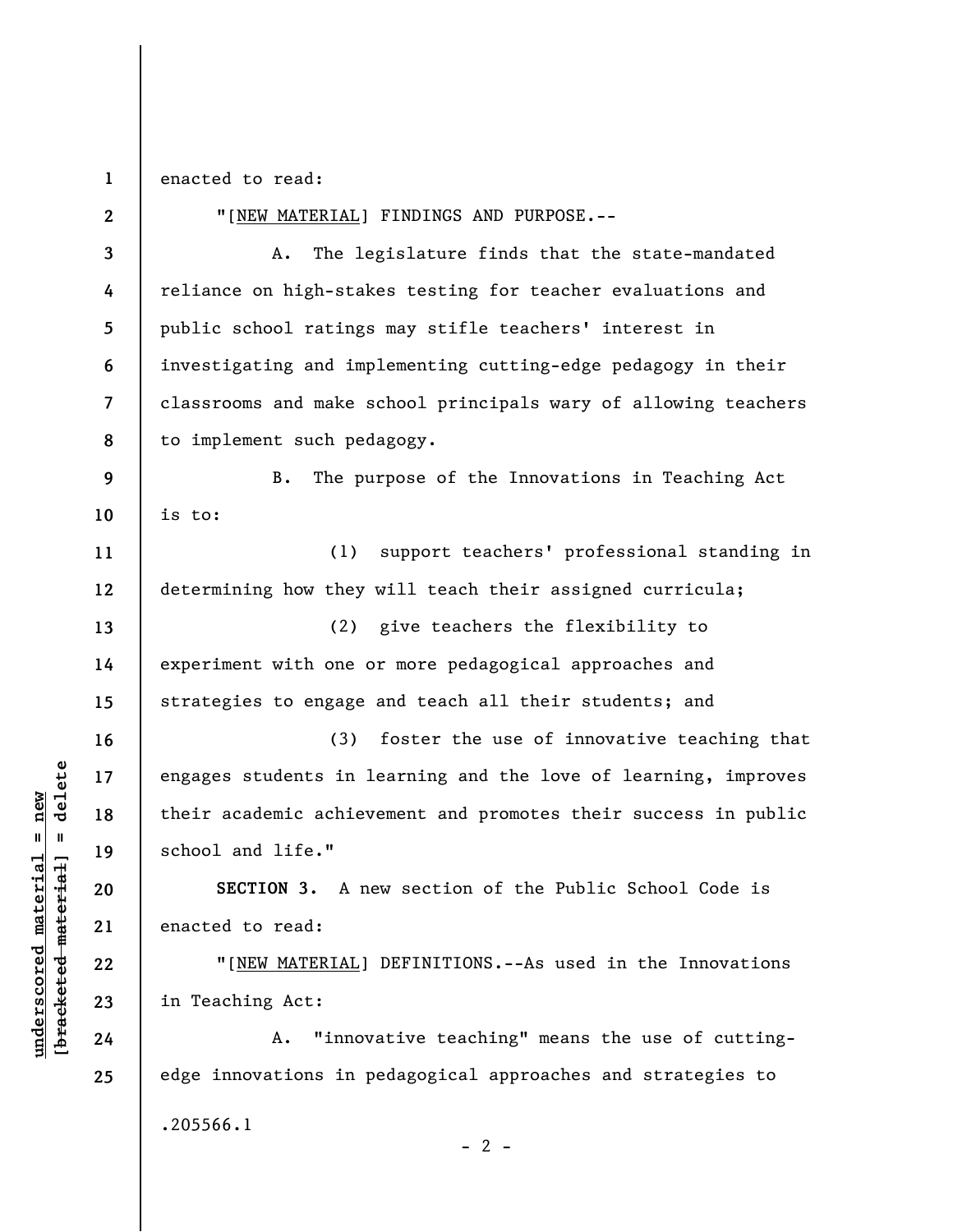**1**  enacted to read:

**2 3 4 5 6 7 8 9 10 11 12 13 14 15 16 17 18 19 20 21 22 23 24 25**  "[NEW MATERIAL] FINDINGS AND PURPOSE.-- A. The legislature finds that the state-mandated reliance on high-stakes testing for teacher evaluations and public school ratings may stifle teachers' interest in investigating and implementing cutting-edge pedagogy in their classrooms and make school principals wary of allowing teachers to implement such pedagogy. B. The purpose of the Innovations in Teaching Act is to: (1) support teachers' professional standing in determining how they will teach their assigned curricula; (2) give teachers the flexibility to experiment with one or more pedagogical approaches and strategies to engage and teach all their students; and (3) foster the use of innovative teaching that engages students in learning and the love of learning, improves their academic achievement and promotes their success in public school and life." **SECTION 3.** A new section of the Public School Code is enacted to read: "[NEW MATERIAL] DEFINITIONS.--As used in the Innovations in Teaching Act: A. "innovative teaching" means the use of cuttingedge innovations in pedagogical approaches and strategies to .205566.1  $- 2 -$ 

## $\frac{1}{2}$  intereted material = delete **[bracketed material] = delete**  $underscored material = new$ **underscored material = new**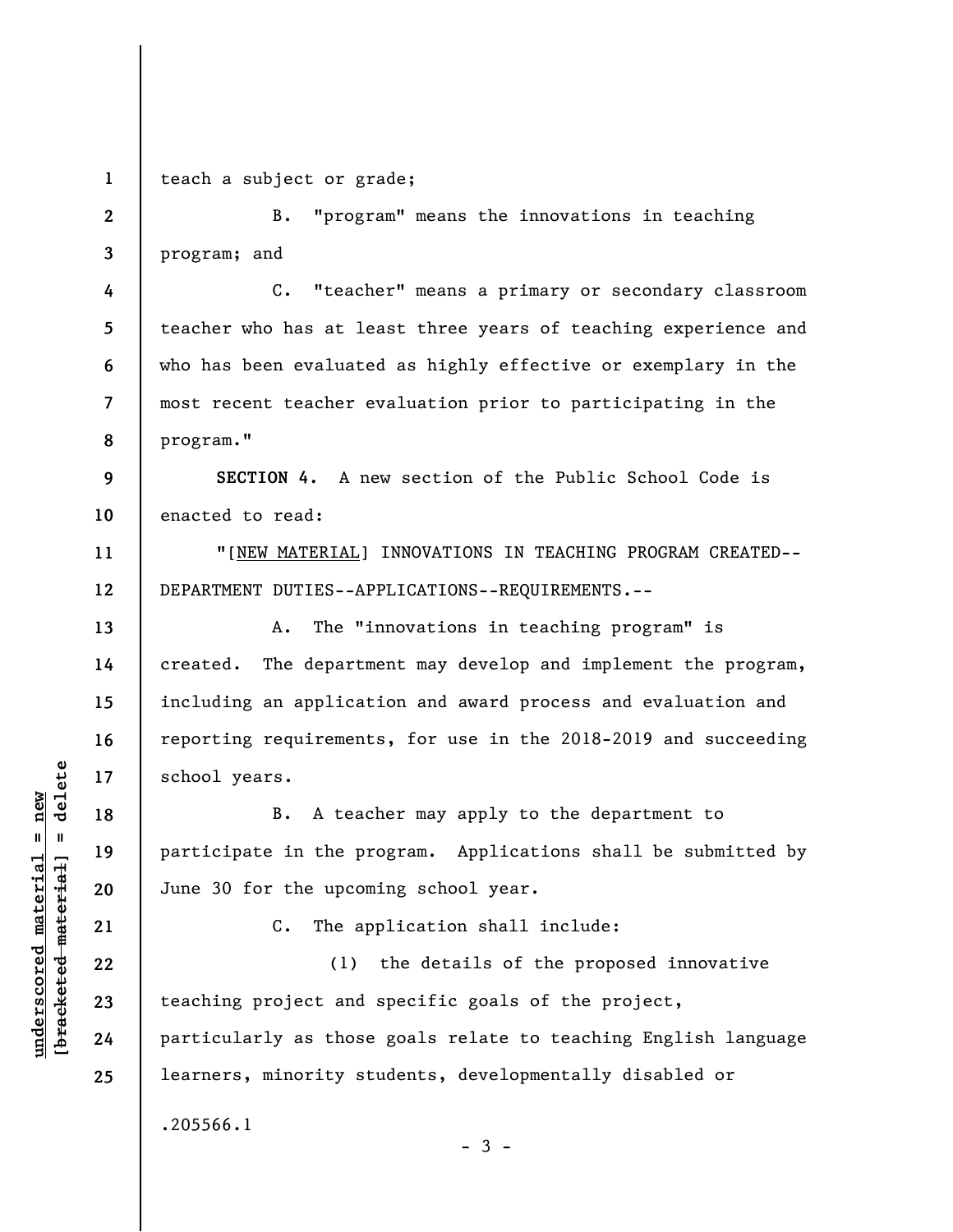**1** 

**4** 

**5** 

**6** 

**7** 

**8** 

**11** 

**12** 

**13** 

**14** 

**15** 

**16** 

**17** 

**18** 

**19** 

**20** 

teach a subject or grade;

**2 3**  B. "program" means the innovations in teaching program; and

C. "teacher" means a primary or secondary classroom teacher who has at least three years of teaching experience and who has been evaluated as highly effective or exemplary in the most recent teacher evaluation prior to participating in the program."

**9 10 SECTION 4.** A new section of the Public School Code is enacted to read:

"[NEW MATERIAL] INNOVATIONS IN TEACHING PROGRAM CREATED-- DEPARTMENT DUTIES--APPLICATIONS--REQUIREMENTS.--

A. The "innovations in teaching program" is created. The department may develop and implement the program, including an application and award process and evaluation and reporting requirements, for use in the 2018-2019 and succeeding school years.

B. A teacher may apply to the department to participate in the program. Applications shall be submitted by June 30 for the upcoming school year.

**21** 

**22** 

**23** 

**24** 

**25** 

**underscored material = new [bracketed material] = delete**

 $\frac{1}{2}$  intereted material = delete  $underscored material = new$ 

C. The application shall include:

(1) the details of the proposed innovative teaching project and specific goals of the project, particularly as those goals relate to teaching English language learners, minority students, developmentally disabled or .205566.1

 $-3 -$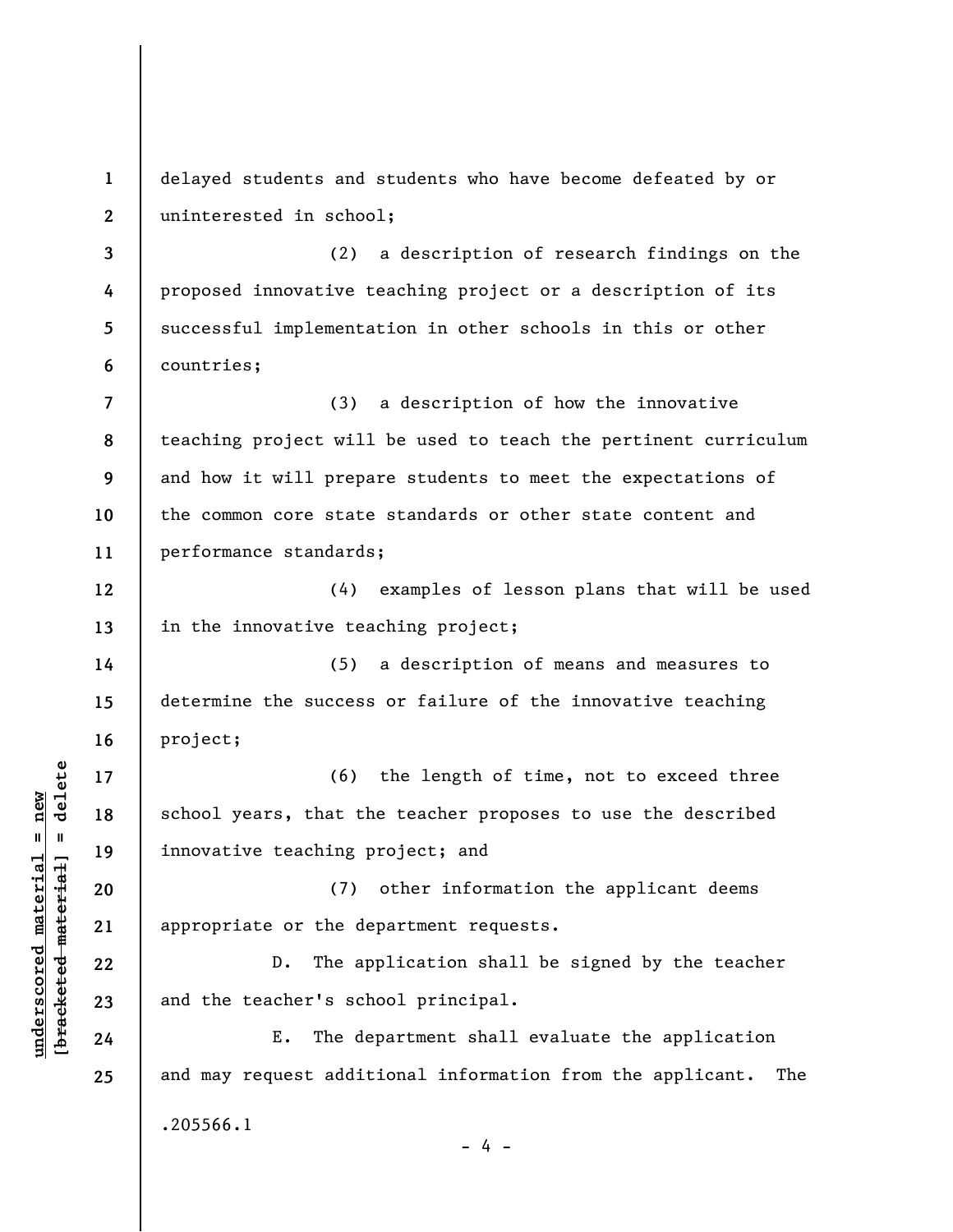**1 2 3 4 5 6 7 8 9 10 11 12 13 14 15 16 17 18 19 20 21 22 23 24 25**  delayed students and students who have become defeated by or uninterested in school; (2) a description of research findings on the proposed innovative teaching project or a description of its successful implementation in other schools in this or other countries; (3) a description of how the innovative teaching project will be used to teach the pertinent curriculum and how it will prepare students to meet the expectations of the common core state standards or other state content and performance standards; (4) examples of lesson plans that will be used in the innovative teaching project; (5) a description of means and measures to determine the success or failure of the innovative teaching project; (6) the length of time, not to exceed three school years, that the teacher proposes to use the described innovative teaching project; and (7) other information the applicant deems appropriate or the department requests. D. The application shall be signed by the teacher and the teacher's school principal. E. The department shall evaluate the application and may request additional information from the applicant. The .205566.1  $- 4 -$ 

**underscored material = new [bracketed material] = delete**

 $\frac{1}{2}$  intereted material = delete  $underscored$  material = new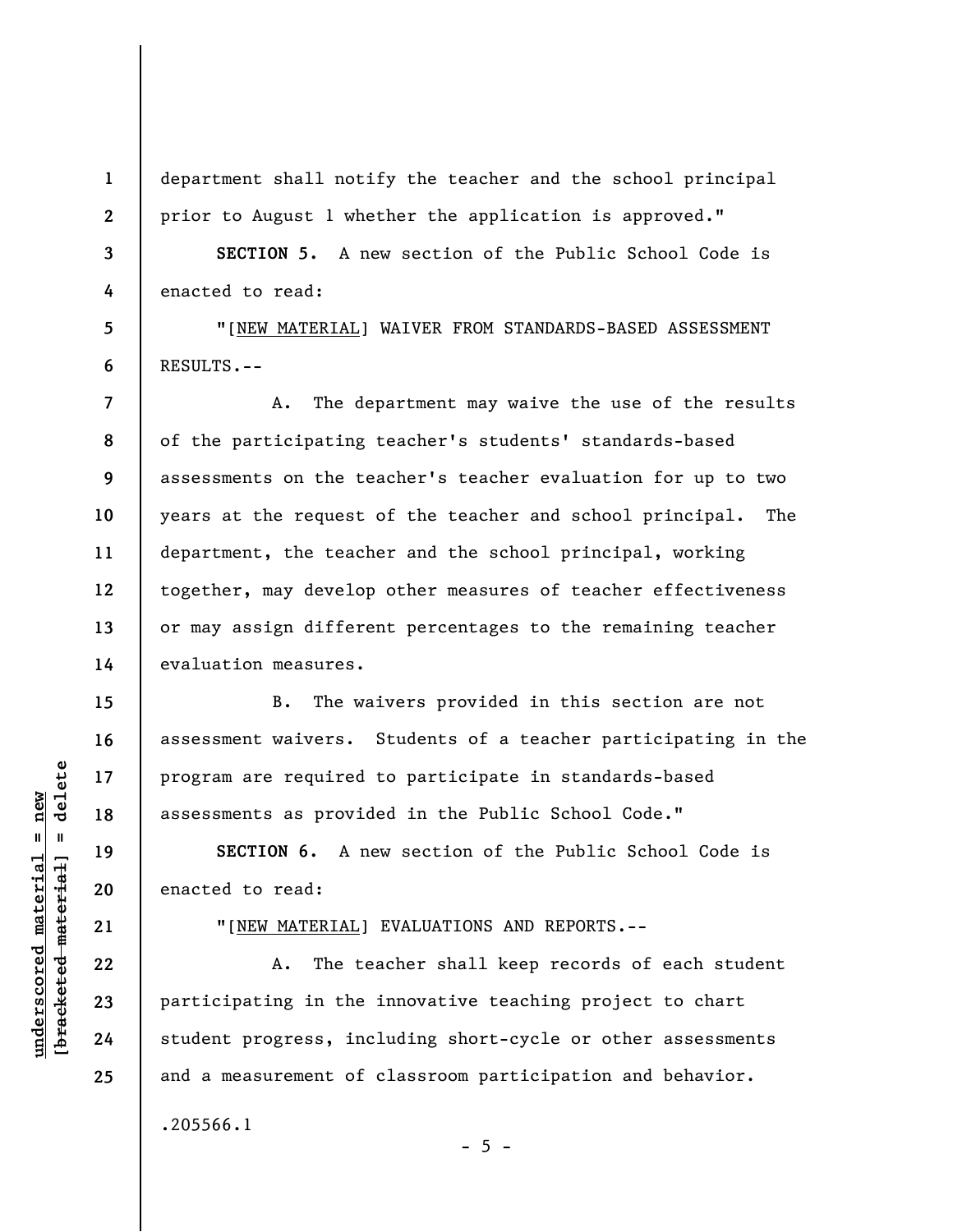department shall notify the teacher and the school principal prior to August 1 whether the application is approved."

**3 4 SECTION 5.** A new section of the Public School Code is enacted to read:

"[NEW MATERIAL] WAIVER FROM STANDARDS-BASED ASSESSMENT RESULTS.--

**8 9**  A. The department may waive the use of the results of the participating teacher's students' standards-based assessments on the teacher's teacher evaluation for up to two years at the request of the teacher and school principal. The department, the teacher and the school principal, working together, may develop other measures of teacher effectiveness or may assign different percentages to the remaining teacher evaluation measures.

B. The waivers provided in this section are not assessment waivers. Students of a teacher participating in the program are required to participate in standards-based assessments as provided in the Public School Code."

**SECTION 6.** A new section of the Public School Code is enacted to read:

**21** 

**1** 

**2** 

**5** 

**6** 

**7** 

**10** 

**11** 

**12** 

**13** 

**14** 

**15** 

**16** 

**17** 

**18** 

**19** 

**20** 

**22** 

**23** 

**24** 

**25** 

**underscored material = new [bracketed material] = delete**

bracketed material

 $underscored material = new$ 

 $=$  delete

"[NEW MATERIAL] EVALUATIONS AND REPORTS.--

A. The teacher shall keep records of each student participating in the innovative teaching project to chart student progress, including short-cycle or other assessments and a measurement of classroom participation and behavior. .205566.1

 $- 5 -$